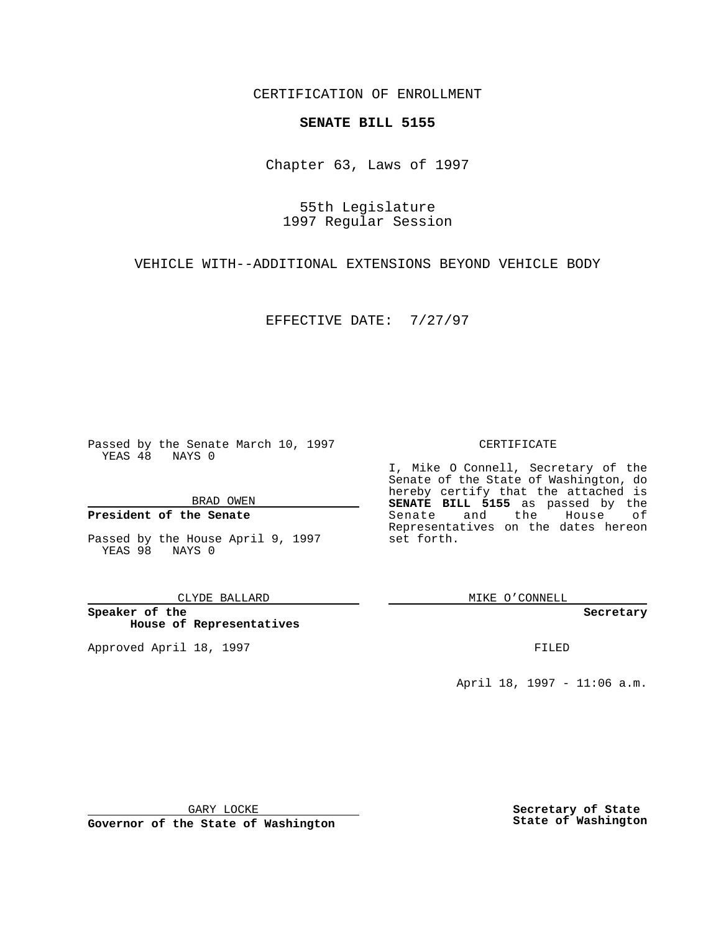CERTIFICATION OF ENROLLMENT

## **SENATE BILL 5155**

Chapter 63, Laws of 1997

55th Legislature 1997 Regular Session

VEHICLE WITH--ADDITIONAL EXTENSIONS BEYOND VEHICLE BODY

EFFECTIVE DATE: 7/27/97

Passed by the Senate March 10, 1997 YEAS 48 NAYS 0

BRAD OWEN

## **President of the Senate**

Passed by the House April 9, 1997 YEAS 98 NAYS 0

CLYDE BALLARD

**Speaker of the House of Representatives**

Approved April 18, 1997 **FILED** 

## CERTIFICATE

I, Mike O Connell, Secretary of the Senate of the State of Washington, do hereby certify that the attached is **SENATE BILL 5155** as passed by the Senate and the House of Representatives on the dates hereon set forth.

MIKE O'CONNELL

**Secretary**

April 18, 1997 - 11:06 a.m.

GARY LOCKE

**Governor of the State of Washington**

**Secretary of State State of Washington**